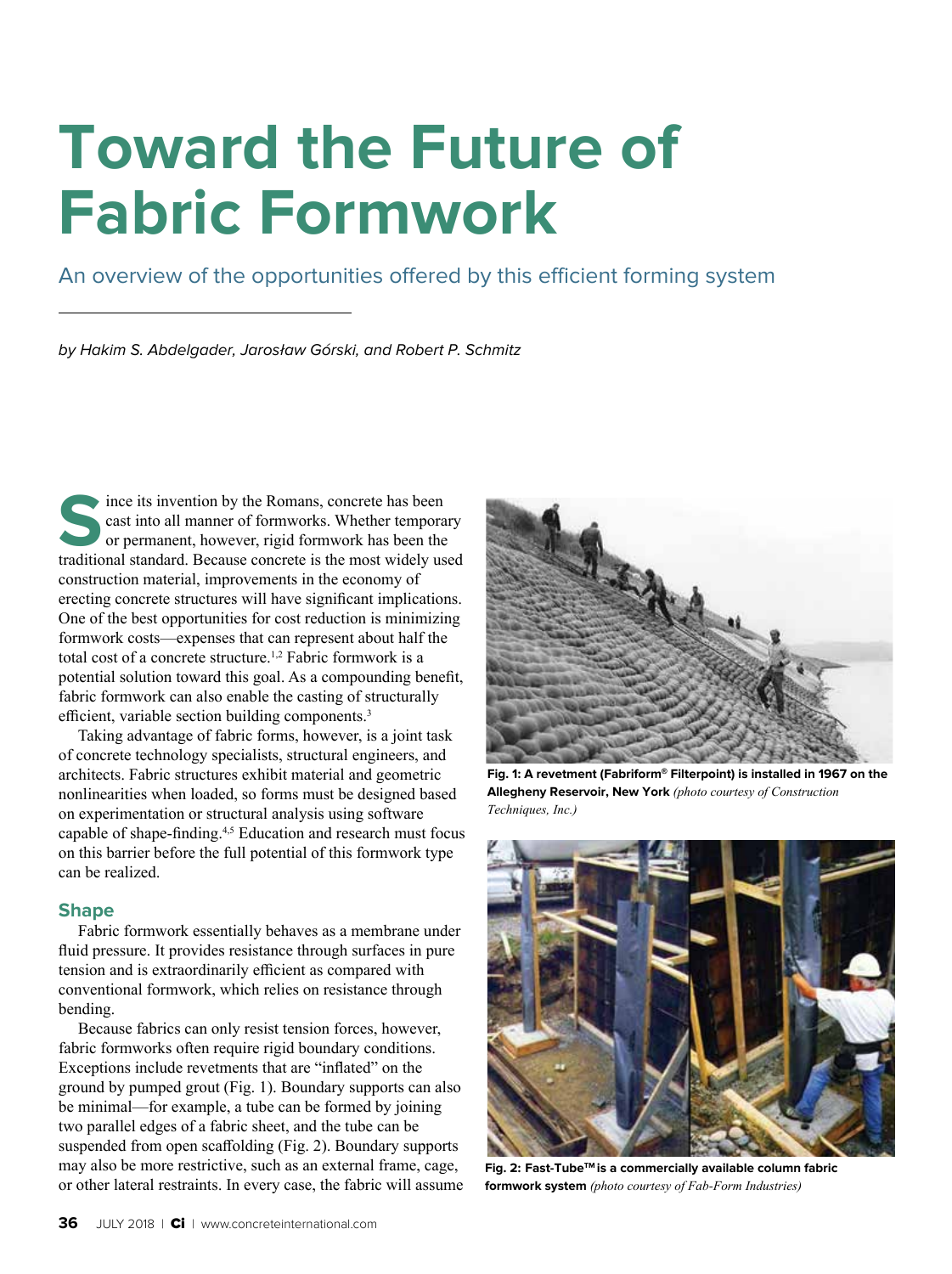# **Toward the Future of Fabric Formwork**

An overview of the opportunities offered by this efficient forming system

by Hakim S. Abdelgader, Jarosław Górski, and Robert P. Schmitz

Since its invention by the Romans, concrete has been<br>
stational manner of formworks. Whether tempora<br>
or permanent, however, rigid formwork has been the<br>
traditional standard Recause concrete is the most widely us cast into all manner of formworks. Whether temporary or permanent, however, rigid formwork has been the traditional standard. Because concrete is the most widely used construction material, improvements in the economy of erecting concrete structures will have significant implications. One of the best opportunities for cost reduction is minimizing formwork costs—expenses that can represent about half the total cost of a concrete structure.<sup>1,2</sup> Fabric formwork is a potential solution toward this goal. As a compounding benefit, fabric formwork can also enable the casting of structurally efficient, variable section building components.<sup>3</sup>

Taking advantage of fabric forms, however, is a joint task of concrete technology specialists, structural engineers, and architects. Fabric structures exhibit material and geometric nonlinearities when loaded, so forms must be designed based on experimentation or structural analysis using software capable of shape-finding.4,5 Education and research must focus on this barrier before the full potential of this formwork type can be realized.

# **Shape**

Fabric formwork essentially behaves as a membrane under fluid pressure. It provides resistance through surfaces in pure tension and is extraordinarily efficient as compared with conventional formwork, which relies on resistance through bending.

Because fabrics can only resist tension forces, however, fabric formworks often require rigid boundary conditions. Exceptions include revetments that are "inflated" on the ground by pumped grout (Fig. 1). Boundary supports can also be minimal—for example, a tube can be formed by joining two parallel edges of a fabric sheet, and the tube can be suspended from open scaffolding (Fig. 2). Boundary supports may also be more restrictive, such as an external frame, cage, or other lateral restraints. In every case, the fabric will assume



**Fig. 1: A revetment (Fabriform® Filterpoint) is installed in 1967 on the Allegheny Reservoir, New York** *(photo courtesy of Construction Techniques, Inc.)* 



**Fig. 2: Fast-TubeTM is a commercially available column fabric formwork system** *(photo courtesy of Fab-Form Industries)*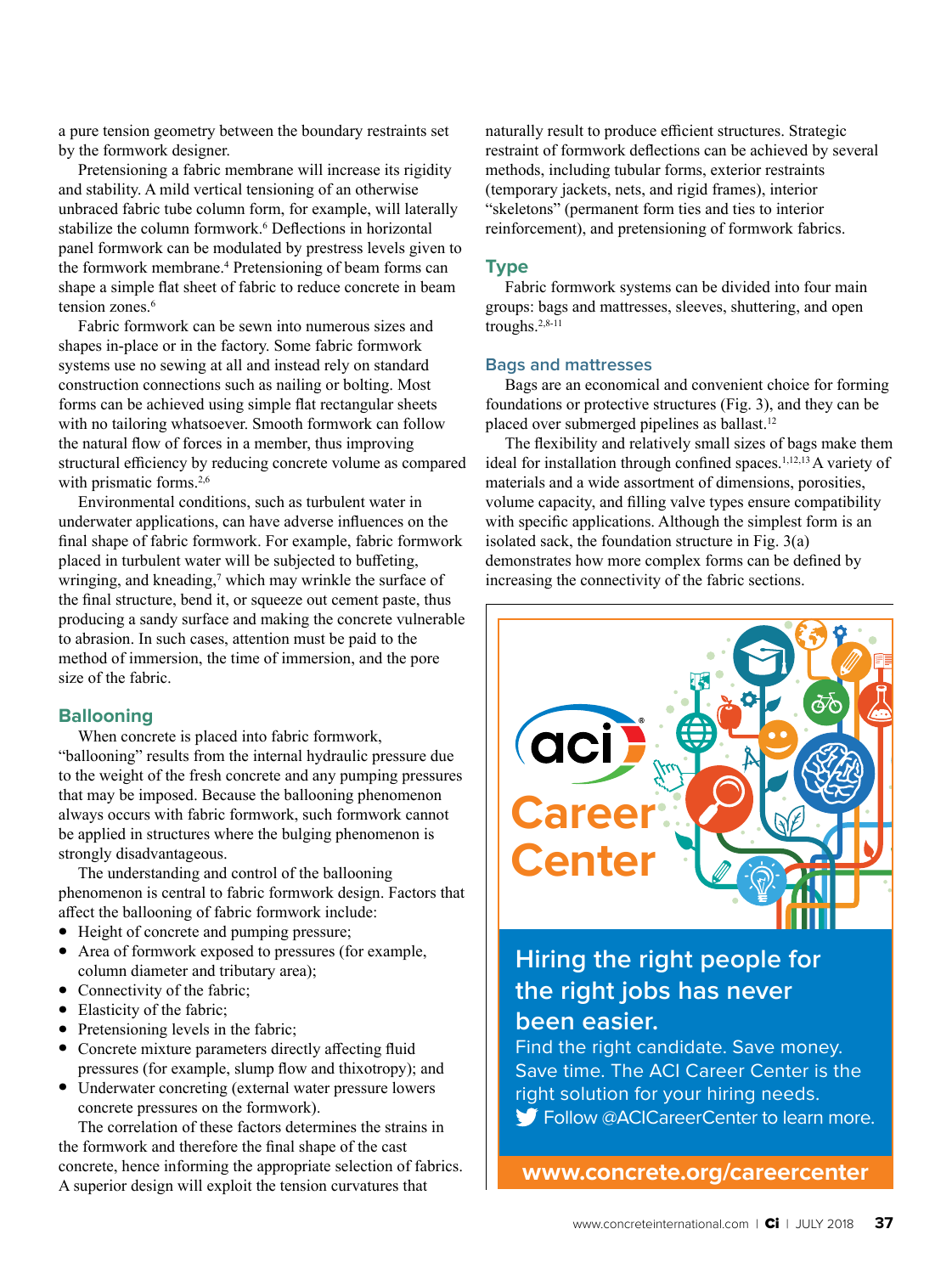a pure tension geometry between the boundary restraints set by the formwork designer.

Pretensioning a fabric membrane will increase its rigidity and stability. A mild vertical tensioning of an otherwise unbraced fabric tube column form, for example, will laterally stabilize the column formwork.<sup>6</sup> Deflections in horizontal panel formwork can be modulated by prestress levels given to the formwork membrane.4 Pretensioning of beam forms can shape a simple flat sheet of fabric to reduce concrete in beam tension zones.<sup>6</sup>

Fabric formwork can be sewn into numerous sizes and shapes in-place or in the factory. Some fabric formwork systems use no sewing at all and instead rely on standard construction connections such as nailing or bolting. Most forms can be achieved using simple flat rectangular sheets with no tailoring whatsoever. Smooth formwork can follow the natural flow of forces in a member, thus improving structural efficiency by reducing concrete volume as compared with prismatic forms.<sup>2,6</sup>

Environmental conditions, such as turbulent water in underwater applications, can have adverse influences on the final shape of fabric formwork. For example, fabric formwork placed in turbulent water will be subjected to buffeting, wringing, and kneading, $\frac{7}{1}$  which may wrinkle the surface of the final structure, bend it, or squeeze out cement paste, thus producing a sandy surface and making the concrete vulnerable to abrasion. In such cases, attention must be paid to the method of immersion, the time of immersion, and the pore size of the fabric.

# **Ballooning**

When concrete is placed into fabric formwork, "ballooning" results from the internal hydraulic pressure due to the weight of the fresh concrete and any pumping pressures that may be imposed. Because the ballooning phenomenon always occurs with fabric formwork, such formwork cannot be applied in structures where the bulging phenomenon is strongly disadvantageous.

The understanding and control of the ballooning phenomenon is central to fabric formwork design. Factors that affect the ballooning of fabric formwork include:

- Height of concrete and pumping pressure;
- Area of formwork exposed to pressures (for example, column diameter and tributary area);
- Connectivity of the fabric;
- Elasticity of the fabric;
- Pretensioning levels in the fabric;
- Concrete mixture parameters directly affecting fluid pressures (for example, slump flow and thixotropy); and
- Underwater concreting (external water pressure lowers concrete pressures on the formwork).

The correlation of these factors determines the strains in the formwork and therefore the final shape of the cast concrete, hence informing the appropriate selection of fabrics. A superior design will exploit the tension curvatures that

naturally result to produce efficient structures. Strategic restraint of formwork deflections can be achieved by several methods, including tubular forms, exterior restraints (temporary jackets, nets, and rigid frames), interior "skeletons" (permanent form ties and ties to interior reinforcement), and pretensioning of formwork fabrics.

### **Type**

Fabric formwork systems can be divided into four main groups: bags and mattresses, sleeves, shuttering, and open troughs.2,8-11

#### **Bags and mattresses**

Bags are an economical and convenient choice for forming foundations or protective structures (Fig. 3), and they can be placed over submerged pipelines as ballast.<sup>12</sup>

The flexibility and relatively small sizes of bags make them ideal for installation through confined spaces.<sup>1,12,13</sup> A variety of materials and a wide assortment of dimensions, porosities, volume capacity, and filling valve types ensure compatibility with specific applications. Although the simplest form is an isolated sack, the foundation structure in Fig. 3(a) demonstrates how more complex forms can be defined by increasing the connectivity of the fabric sections.



# **Hiring the right people for the right jobs has never been easier.**

Find the right candidate. Save money. Save time. The ACI Career Center is the right solution for your hiring needs. Follow @ACICareerCenter to learn more.

**www.concrete.org/careercenter**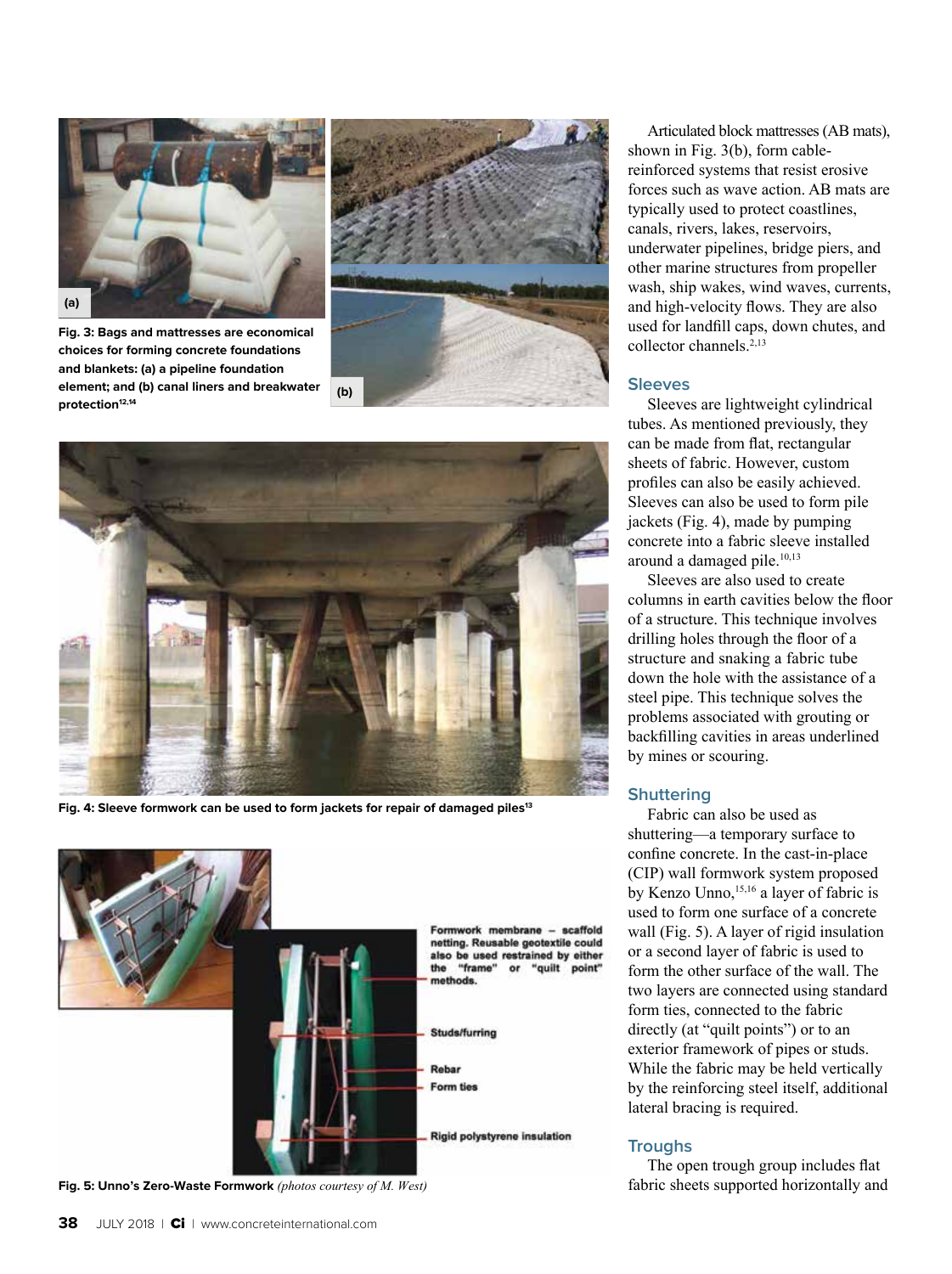

**Fig. 3: Bags and mattresses are economical choices for forming concrete foundations and blankets: (a) a pipeline foundation element; and (b) canal liners and breakwater protection12,14**





Fig. 4: Sleeve formwork can be used to form jackets for repair of damaged piles<sup>13</sup>



**Fig. 5: Unno's Zero-Waste Formwork** *(photos courtesy of M. West)*

Articulated block mattresses (AB mats), shown in Fig. 3(b), form cablereinforced systems that resist erosive forces such as wave action. AB mats are typically used to protect coastlines, canals, rivers, lakes, reservoirs, underwater pipelines, bridge piers, and other marine structures from propeller wash, ship wakes, wind waves, currents, and high-velocity flows. They are also used for landfill caps, down chutes, and collector channels.<sup>2,13</sup>

#### **Sleeves**

Sleeves are lightweight cylindrical tubes. As mentioned previously, they can be made from flat, rectangular sheets of fabric. However, custom profiles can also be easily achieved. Sleeves can also be used to form pile jackets (Fig. 4), made by pumping concrete into a fabric sleeve installed around a damaged pile.<sup>10,13</sup>

Sleeves are also used to create columns in earth cavities below the floor of a structure. This technique involves drilling holes through the floor of a structure and snaking a fabric tube down the hole with the assistance of a steel pipe. This technique solves the problems associated with grouting or backfilling cavities in areas underlined by mines or scouring.

#### **Shuttering**

Fabric can also be used as shuttering—a temporary surface to confine concrete. In the cast-in-place (CIP) wall formwork system proposed by Kenzo Unno,<sup>15,16</sup> a layer of fabric is used to form one surface of a concrete wall (Fig. 5). A layer of rigid insulation or a second layer of fabric is used to form the other surface of the wall. The two layers are connected using standard form ties, connected to the fabric directly (at "quilt points") or to an exterior framework of pipes or studs. While the fabric may be held vertically by the reinforcing steel itself, additional lateral bracing is required.

#### **Troughs**

The open trough group includes flat fabric sheets supported horizontally and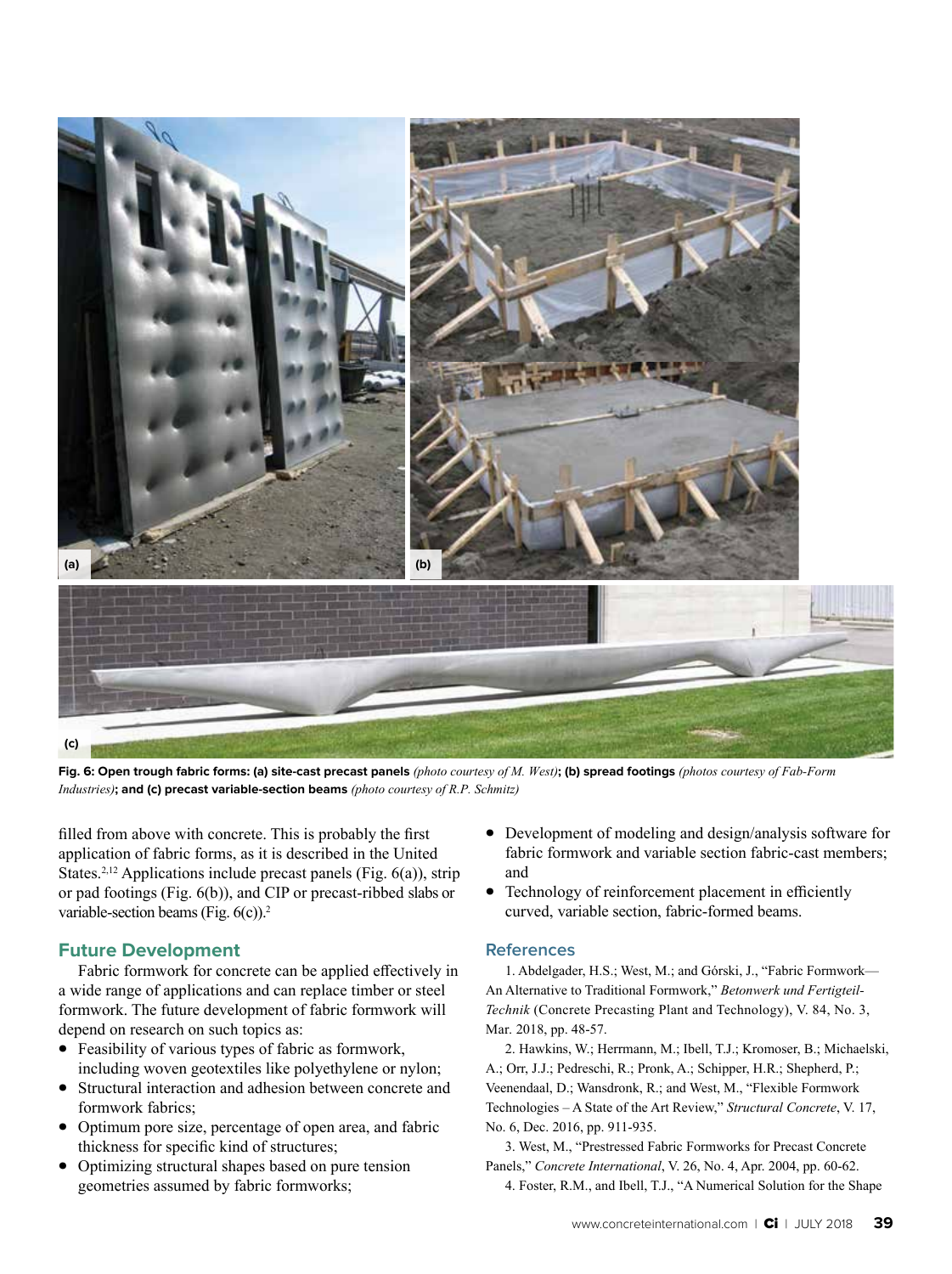

**Fig. 6: Open trough fabric forms: (a) site-cast precast panels** *(photo courtesy of M. West)***; (b) spread footings** *(photos courtesy of Fab-Form Industries)***; and (c) precast variable-section beams** *(photo courtesy of R.P. Schmitz)*

filled from above with concrete. This is probably the first application of fabric forms, as it is described in the United States.<sup>2,12</sup> Applications include precast panels (Fig.  $6(a)$ ), strip or pad footings (Fig. 6(b)), and CIP or precast-ribbed slabs or variable-section beams (Fig.  $6(c)$ ).<sup>2</sup>

# **Future Development**

Fabric formwork for concrete can be applied effectively in a wide range of applications and can replace timber or steel formwork. The future development of fabric formwork will depend on research on such topics as:

- Feasibility of various types of fabric as formwork, including woven geotextiles like polyethylene or nylon;
- Structural interaction and adhesion between concrete and formwork fabrics;
- Optimum pore size, percentage of open area, and fabric thickness for specific kind of structures;
- Optimizing structural shapes based on pure tension geometries assumed by fabric formworks;
- Development of modeling and design/analysis software for fabric formwork and variable section fabric-cast members; and
- Technology of reinforcement placement in efficiently curved, variable section, fabric-formed beams.

#### **References**

1. Abdelgader, H.S.; West, M.; and Górski, J., "Fabric Formwork— An Alternative to Traditional Formwork," *Betonwerk und Fertigteil-Technik* (Concrete Precasting Plant and Technology), V. 84, No. 3, Mar. 2018, pp. 48-57.

2. Hawkins, W.; Herrmann, M.; Ibell, T.J.; Kromoser, B.; Michaelski, A.; Orr, J.J.; Pedreschi, R.; Pronk, A.; Schipper, H.R.; Shepherd, P.; Veenendaal, D.; Wansdronk, R.; and West, M., "Flexible Formwork Technologies – A State of the Art Review," *Structural Concrete*, V. 17, No. 6, Dec. 2016, pp. 911-935.

3. West, M., "Prestressed Fabric Formworks for Precast Concrete Panels," *Concrete International*, V. 26, No. 4, Apr. 2004, pp. 60-62.

4. Foster, R.M., and Ibell, T.J., "A Numerical Solution for the Shape